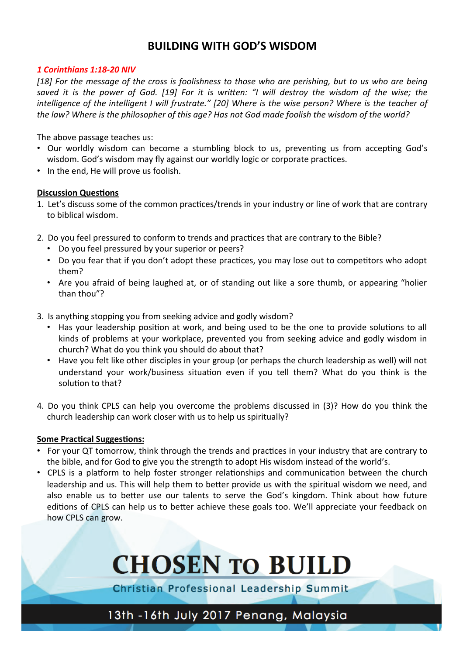## **BUILDING WITH GOD'S WISDOM**

#### *1 Corinthians 1:18-20 NIV*

[18] For the message of the cross is foolishness to those who are perishing, but to us who are being saved it is the power of God. [19] For it is written: "I will destroy the wisdom of the wise; the *intelligence of the intelligent I will frustrate."* [20] Where is the wise person? Where is the teacher of the law? Where is the philosopher of this age? Has not God made foolish the wisdom of the world?

The above passage teaches us:

- Our worldly wisdom can become a stumbling block to us, preventing us from accepting God's wisdom. God's wisdom may fly against our worldly logic or corporate practices.
- In the end, He will prove us foolish.

#### **Discussion Questions**

- 1. Let's discuss some of the common practices/trends in your industry or line of work that are contrary to biblical wisdom.
- 2. Do you feel pressured to conform to trends and practices that are contrary to the Bible?
	- Do you feel pressured by your superior or peers?
	- Do you fear that if you don't adopt these practices, you may lose out to competitors who adopt them?
	- Are you afraid of being laughed at, or of standing out like a sore thumb, or appearing "holier than thou"?
- 3. Is anything stopping you from seeking advice and godly wisdom?
	- Has your leadership position at work, and being used to be the one to provide solutions to all kinds of problems at your workplace, prevented you from seeking advice and godly wisdom in church? What do you think you should do about that?
	- Have you felt like other disciples in your group (or perhaps the church leadership as well) will not understand your work/business situation even if you tell them? What do you think is the solution to that?
- 4. Do you think CPLS can help you overcome the problems discussed in (3)? How do you think the church leadership can work closer with us to help us spiritually?

#### **Some Practical Suggestions:**

- For your QT tomorrow, think through the trends and practices in your industry that are contrary to the bible, and for God to give you the strength to adopt His wisdom instead of the world's.
- CPLS is a platform to help foster stronger relationships and communication between the church leadership and us. This will help them to better provide us with the spiritual wisdom we need, and also enable us to better use our talents to serve the God's kingdom. Think about how future editions of CPLS can help us to better achieve these goals too. We'll appreciate your feedback on how CPLS can grow.



Christian Professional Leadership Summit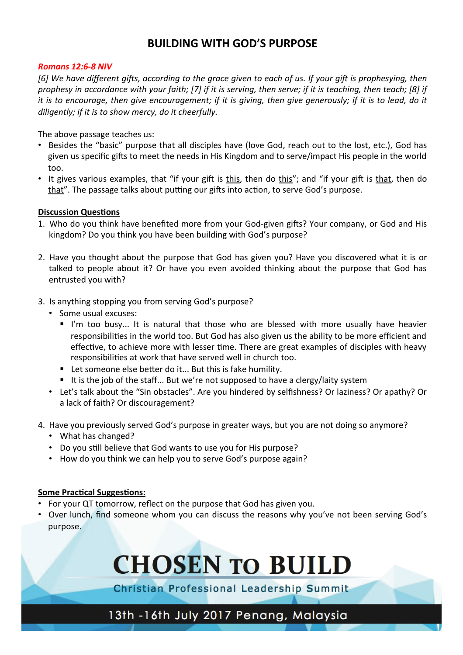## **BUILDING WITH GOD'S PURPOSE**

#### *Romans 12:6-8 NIV*

[6] We have different gifts, according to the grace given to each of us. If your gift is prophesying, then *prophesy in accordance with your faith;* [7] if it is serving, then serve; if it is teaching, then teach; [8] if *it* is to encourage, then give encouragement; if it is giving, then give generously; if it is to lead, do it diligently; if it is to show mercy, do it cheerfully.

The above passage teaches us:

- Besides the "basic" purpose that all disciples have (love God, reach out to the lost, etc.), God has given us specific gifts to meet the needs in His Kingdom and to serve/impact His people in the world too.
- It gives various examples, that "if your gift is this, then do this"; and "if your gift is that, then do that". The passage talks about putting our gifts into action, to serve God's purpose.

#### **Discussion Questions**

- 1. Who do you think have benefited more from your God-given gifts? Your company, or God and His kingdom? Do you think you have been building with God's purpose?
- 2. Have you thought about the purpose that God has given you? Have you discovered what it is or talked to people about it? Or have you even avoided thinking about the purpose that God has entrusted you with?
- 3. Is anything stopping you from serving God's purpose?
	- Some usual excuses:
		- I'm too busy... It is natural that those who are blessed with more usually have heavier responsibilities in the world too. But God has also given us the ability to be more efficient and effective, to achieve more with lesser time. There are great examples of disciples with heavy responsibilities at work that have served well in church too.
		- $\blacksquare$  Let someone else better do it... But this is fake humility.
		- It is the job of the staff... But we're not supposed to have a clergy/laity system
	- Let's talk about the "Sin obstacles". Are you hindered by selfishness? Or laziness? Or apathy? Or a lack of faith? Or discouragement?
- 4. Have you previously served God's purpose in greater ways, but you are not doing so anymore?
	- What has changed?
	- Do you still believe that God wants to use you for His purpose?
	- How do you think we can help you to serve God's purpose again?

#### **Some Practical Suggestions:**

- For your QT tomorrow, reflect on the purpose that God has given you.
- Over lunch, find someone whom you can discuss the reasons why you've not been serving God's purpose.



Christian Professional Leadership Summit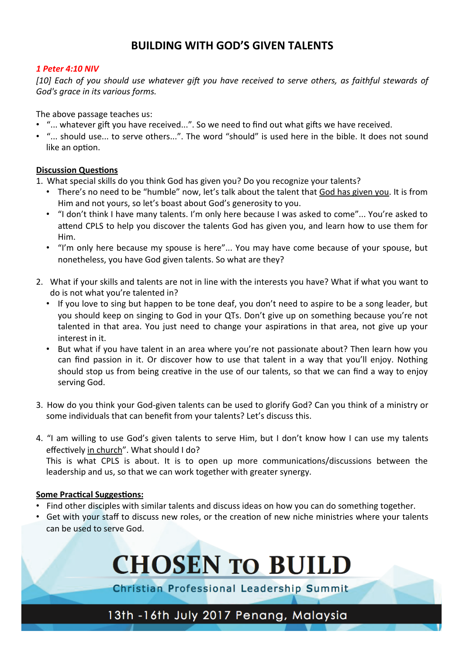## **BUILDING WITH GOD'S GIVEN TALENTS**

#### *1 Peter 4:10 NIV*

[10] Each of you should use whatever gift you have received to serve others, as faithful stewards of God's grace in its various forms.

The above passage teaches us:

- "... whatever gift you have received...". So we need to find out what gifts we have received.
- "... should use... to serve others...". The word "should" is used here in the bible. It does not sound like an option.

#### **Discussion Questions**

1. What special skills do you think God has given you? Do you recognize your talents?

- There's no need to be "humble" now, let's talk about the talent that God has given you. It is from Him and not yours, so let's boast about God's generosity to you.
- "I don't think I have many talents. I'm only here because I was asked to come"... You're asked to attend CPLS to help you discover the talents God has given you, and learn how to use them for Him.
- "I'm only here because my spouse is here"... You may have come because of your spouse, but nonetheless, you have God given talents. So what are they?
- 2. What if your skills and talents are not in line with the interests you have? What if what you want to do is not what you're talented in?
	- If you love to sing but happen to be tone deaf, you don't need to aspire to be a song leader, but you should keep on singing to God in your QTs. Don't give up on something because you're not talented in that area. You just need to change your aspirations in that area, not give up your interest in it.
	- But what if you have talent in an area where you're not passionate about? Then learn how you can find passion in it. Or discover how to use that talent in a way that you'll enjoy. Nothing should stop us from being creative in the use of our talents, so that we can find a way to enjoy serving God.
- 3. How do you think your God-given talents can be used to glorify God? Can you think of a ministry or some individuals that can benefit from your talents? Let's discuss this.
- 4. "I am willing to use God's given talents to serve Him, but I don't know how I can use my talents effectively in church". What should I do? This is what CPLS is about. It is to open up more communications/discussions between the leadership and us, so that we can work together with greater synergy.

#### **Some Practical Suggestions:**

- Find other disciples with similar talents and discuss ideas on how you can do something together.
- Get with your staff to discuss new roles, or the creation of new niche ministries where your talents can be used to serve God.



Christian Professional Leadership Summit